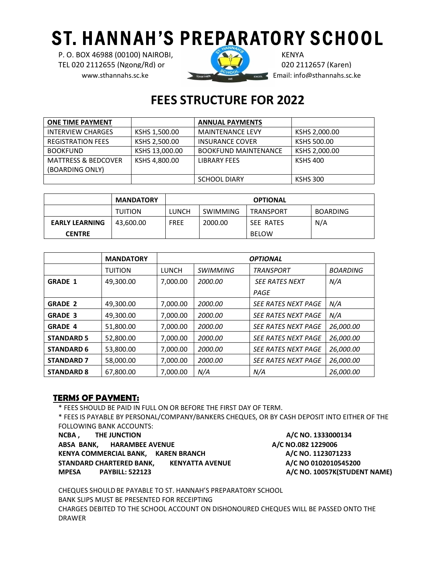## **ST. HANNAH'S PREPARATORY SCHOOL**

P. O. BOX 46988 (00100) NAIROBI, KENYA TEL 020 2112655 (Ngong/Rd) or 020 2112657 (Karen) www.sthannahs.sc.ke **Email:** info@sthannahs.sc.ke



## **FEES STRUCTURE FOR 2022**

| <b>ONE TIME PAYMENT</b>        |                | <b>ANNUAL PAYMENTS</b>      |                 |
|--------------------------------|----------------|-----------------------------|-----------------|
| <b>INTERVIEW CHARGES</b>       | KSHS 1,500.00  | <b>MAINTENANCE LEVY</b>     | KSHS 2,000.00   |
| <b>REGISTRATION FEES</b>       | KSHS 2,500.00  | <b>INSURANCE COVER</b>      | KSHS 500.00     |
| <b>BOOKFUND</b>                | KSHS 13,000.00 | <b>BOOKFUND MAINTENANCE</b> | KSHS 2,000.00   |
| <b>MATTRESS &amp; BEDCOVER</b> | KSHS 4.800.00  | <b>LIBRARY FEES</b>         | <b>KSHS 400</b> |
| (BOARDING ONLY)                |                |                             |                 |
|                                |                | <b>SCHOOL DIARY</b>         | <b>KSHS 300</b> |

|                       | <b>MANDATORY</b> | <b>OPTIONAL</b> |          |                  |                 |
|-----------------------|------------------|-----------------|----------|------------------|-----------------|
|                       | <b>TUITION</b>   | <b>LUNCH</b>    | SWIMMING | <b>TRANSPORT</b> | <b>BOARDING</b> |
| <b>EARLY LEARNING</b> | 43,600.00        | <b>FREE</b>     | 2000.00  | SEE RATES        | N/A             |
| <b>CENTRE</b>         |                  |                 |          | <b>BELOW</b>     |                 |

|                   | <b>MANDATORY</b> | <b>OPTIONAL</b> |                 |                            |                 |
|-------------------|------------------|-----------------|-----------------|----------------------------|-----------------|
|                   | <b>TUITION</b>   | <b>LUNCH</b>    | <b>SWIMMING</b> | TRANSPORT                  | <b>BOARDING</b> |
| <b>GRADE 1</b>    | 49,300.00        | 7.000.00        | 2000.00         | <b>SEE RATES NEXT</b>      | N/A             |
|                   |                  |                 |                 | PAGE                       |                 |
| <b>GRADE 2</b>    | 49,300.00        | 7,000.00        | 2000.00         | <b>SEE RATES NEXT PAGE</b> | N/A             |
| <b>GRADE 3</b>    | 49,300.00        | 7,000.00        | 2000.00         | <b>SEE RATES NEXT PAGE</b> | N/A             |
| <b>GRADE 4</b>    | 51,800.00        | 7.000.00        | 2000.00         | <b>SEE RATES NEXT PAGE</b> | 26,000.00       |
| <b>STANDARD 5</b> | 52,800.00        | 7,000.00        | 2000.00         | <b>SEE RATES NEXT PAGE</b> | 26,000.00       |
| <b>STANDARD 6</b> | 53,800.00        | 7.000.00        | 2000.00         | <b>SEE RATES NEXT PAGE</b> | 26,000.00       |
| <b>STANDARD 7</b> | 58,000.00        | 7.000.00        | 2000.00         | <b>SEE RATES NEXT PAGE</b> | 26,000.00       |
| <b>STANDARD 8</b> | 67,800.00        | 7,000.00        | N/A             | N/A                        | 26,000.00       |

## **TERMS OF PAYMENT:**

\* FEES SHOULD BE PAID IN FULL ON OR BEFORE THE FIRST DAY OF TERM.

\* FEES IS PAYABLE BY PERSONAL/COMPANY/BANKERS CHEQUES, OR BY CASH DEPOSIT INTO EITHER OF THE FOLLOWING BANK ACCOUNTS:

**NCBA** , THE JUNCTION **A/C NO. 1333000134** 

ABSA BANK, HARAMBEE AVENUE **ALC NO.082 1229006** KENYA COMMERCIAL BANK, KAREN BRANCH **A/C NO. 1123071233 STANDARD CHARTERED BANK, KENYATTA AVENUE A/C NO 0102010545200 MPESA** PAYBILL: 522123 **A/C NO. 10057K(STUDENT NAME)** 

CHEQUES SHOULDBE PAYABLE TO ST. HANNAH'S PREPARATORY SCHOOL BANK SLIPS MUST BE PRESENTED FOR RECEIPTING CHARGES DEBITED TO THE SCHOOL ACCOUNT ON DISHONOURED CHEQUES WILL BE PASSED ONTO THE DRAWER